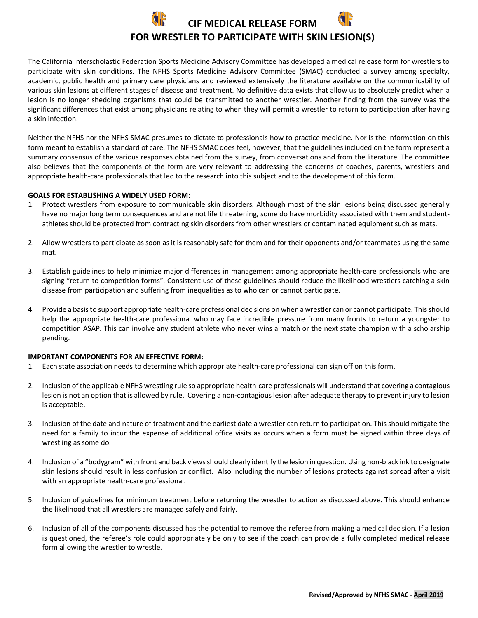

The California Interscholastic Federation Sports Medicine Advisory Committee has developed a medical release form for wrestlers to participate with skin conditions. The NFHS Sports Medicine Advisory Committee (SMAC) conducted a survey among specialty, academic, public health and primary care physicians and reviewed extensively the literature available on the communicability of various skin lesions at different stages of disease and treatment. No definitive data exists that allow us to absolutely predict when a lesion is no longer shedding organisms that could be transmitted to another wrestler. Another finding from the survey was the significant differences that exist among physicians relating to when they will permit a wrestler to return to participation after having a skin infection.

Neither the NFHS nor the NFHS SMAC presumes to dictate to professionals how to practice medicine. Nor is the information on this form meant to establish a standard of care. The NFHS SMAC does feel, however, that the guidelines included on the form represent a summary consensus of the various responses obtained from the survey, from conversations and from the literature. The committee also believes that the components of the form are very relevant to addressing the concerns of coaches, parents, wrestlers and appropriate health-care professionals that led to the research into this subject and to the development of this form.

## **GOALS FOR ESTABLISHING A WIDELY USED FORM:**

- 1. Protect wrestlers from exposure to communicable skin disorders. Although most of the skin lesions being discussed generally have no major long term consequences and are not life threatening, some do have morbidity associated with them and studentathletes should be protected from contracting skin disorders from other wrestlers or contaminated equipment such as mats.
- 2. Allow wrestlers to participate as soon as it is reasonably safe for them and for their opponents and/or teammates using the same mat.
- 3. Establish guidelines to help minimize major differences in management among appropriate health-care professionals who are signing "return to competition forms". Consistent use of these guidelines should reduce the likelihood wrestlers catching a skin disease from participation and suffering from inequalities as to who can or cannot participate.
- 4. Provide a basis to support appropriate health-care professional decisions on when a wrestler can or cannot participate. This should help the appropriate health-care professional who may face incredible pressure from many fronts to return a youngster to competition ASAP. This can involve any student athlete who never wins a match or the next state champion with a scholarship pending.

## **IMPORTANT COMPONENTS FOR AN EFFECTIVE FORM:**

- 1. Each state association needs to determine which appropriate health-care professional can sign off on this form.
- 2. Inclusion of the applicable NFHS wrestling rule so appropriate health-care professionals will understand that covering a contagious lesion is not an option that is allowed by rule. Covering a non-contagious lesion after adequate therapy to prevent injury to lesion is acceptable.
- 3. Inclusion of the date and nature of treatment and the earliest date a wrestler can return to participation. This should mitigate the need for a family to incur the expense of additional office visits as occurs when a form must be signed within three days of wrestling as some do.
- 4. Inclusion of a "bodygram" with front and back views should clearly identify the lesion in question. Using non-black ink to designate skin lesions should result in less confusion or conflict. Also including the number of lesions protects against spread after a visit with an appropriate health-care professional.
- 5. Inclusion of guidelines for minimum treatment before returning the wrestler to action as discussed above. This should enhance the likelihood that all wrestlers are managed safely and fairly.
- 6. Inclusion of all of the components discussed has the potential to remove the referee from making a medical decision. If a lesion is questioned, the referee's role could appropriately be only to see if the coach can provide a fully completed medical release form allowing the wrestler to wrestle.